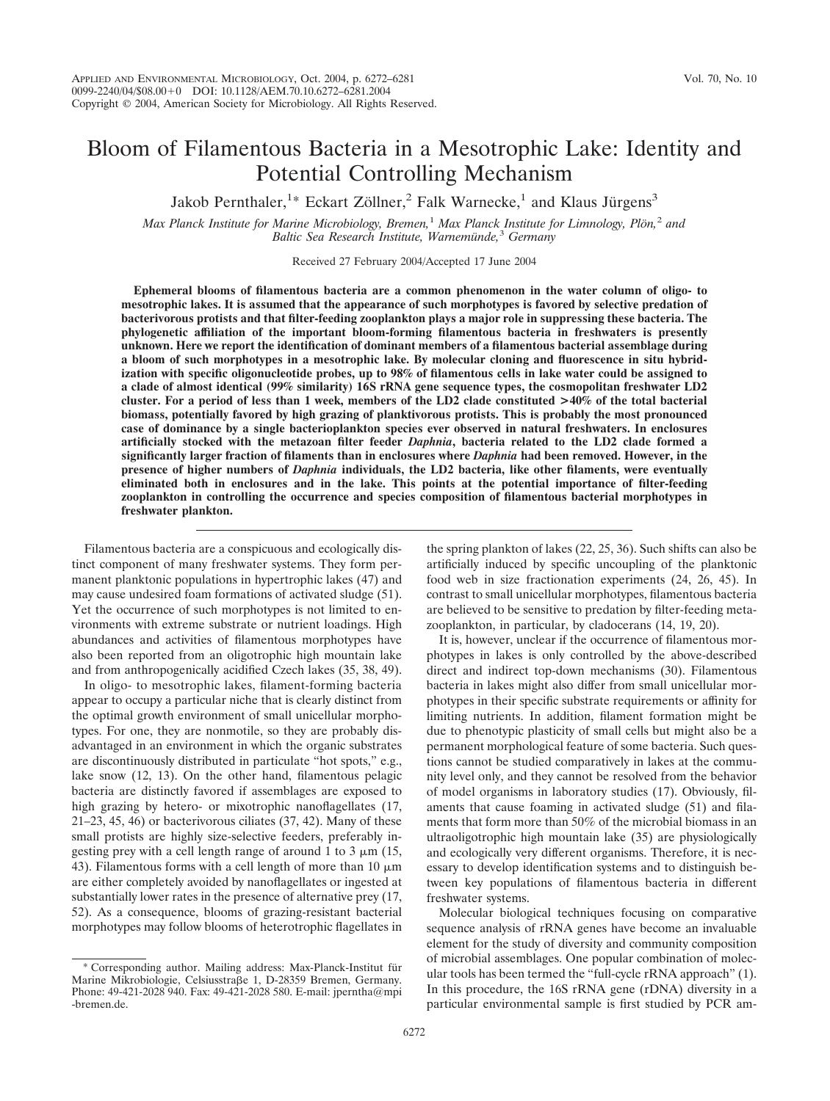# Bloom of Filamentous Bacteria in a Mesotrophic Lake: Identity and Potential Controlling Mechanism

Jakob Pernthaler,<sup>1\*</sup> Eckart Zöllner,<sup>2</sup> Falk Warnecke,<sup>1</sup> and Klaus Jürgens<sup>3</sup>

*Max Planck Institute for Marine Microbiology, Bremen,<sup>1</sup> Max Planck Institute for Limnology, Plön,<sup>2</sup> and Baltic Sea Research Institute, Warnemu¨nde,*<sup>3</sup> *Germany*

Received 27 February 2004/Accepted 17 June 2004

**Ephemeral blooms of filamentous bacteria are a common phenomenon in the water column of oligo- to mesotrophic lakes. It is assumed that the appearance of such morphotypes is favored by selective predation of bacterivorous protists and that filter-feeding zooplankton plays a major role in suppressing these bacteria. The phylogenetic affiliation of the important bloom-forming filamentous bacteria in freshwaters is presently unknown. Here we report the identification of dominant members of a filamentous bacterial assemblage during a bloom of such morphotypes in a mesotrophic lake. By molecular cloning and fluorescence in situ hybridization with specific oligonucleotide probes, up to 98% of filamentous cells in lake water could be assigned to a clade of almost identical (99% similarity) 16S rRNA gene sequence types, the cosmopolitan freshwater LD2 cluster. For a period of less than 1 week, members of the LD2 clade constituted >40% of the total bacterial biomass, potentially favored by high grazing of planktivorous protists. This is probably the most pronounced case of dominance by a single bacterioplankton species ever observed in natural freshwaters. In enclosures artificially stocked with the metazoan filter feeder** *Daphnia***, bacteria related to the LD2 clade formed a significantly larger fraction of filaments than in enclosures where** *Daphnia* **had been removed. However, in the presence of higher numbers of** *Daphnia* **individuals, the LD2 bacteria, like other filaments, were eventually eliminated both in enclosures and in the lake. This points at the potential importance of filter-feeding zooplankton in controlling the occurrence and species composition of filamentous bacterial morphotypes in freshwater plankton.**

Filamentous bacteria are a conspicuous and ecologically distinct component of many freshwater systems. They form permanent planktonic populations in hypertrophic lakes (47) and may cause undesired foam formations of activated sludge (51). Yet the occurrence of such morphotypes is not limited to environments with extreme substrate or nutrient loadings. High abundances and activities of filamentous morphotypes have also been reported from an oligotrophic high mountain lake and from anthropogenically acidified Czech lakes (35, 38, 49).

In oligo- to mesotrophic lakes, filament-forming bacteria appear to occupy a particular niche that is clearly distinct from the optimal growth environment of small unicellular morphotypes. For one, they are nonmotile, so they are probably disadvantaged in an environment in which the organic substrates are discontinuously distributed in particulate "hot spots," e.g., lake snow (12, 13). On the other hand, filamentous pelagic bacteria are distinctly favored if assemblages are exposed to high grazing by hetero- or mixotrophic nanoflagellates (17, 21–23, 45, 46) or bacterivorous ciliates (37, 42). Many of these small protists are highly size-selective feeders, preferably ingesting prey with a cell length range of around 1 to 3  $\mu$ m (15, 43). Filamentous forms with a cell length of more than 10  $\mu$ m are either completely avoided by nanoflagellates or ingested at substantially lower rates in the presence of alternative prey (17, 52). As a consequence, blooms of grazing-resistant bacterial morphotypes may follow blooms of heterotrophic flagellates in

the spring plankton of lakes (22, 25, 36). Such shifts can also be artificially induced by specific uncoupling of the planktonic food web in size fractionation experiments (24, 26, 45). In contrast to small unicellular morphotypes, filamentous bacteria are believed to be sensitive to predation by filter-feeding metazooplankton, in particular, by cladocerans (14, 19, 20).

It is, however, unclear if the occurrence of filamentous morphotypes in lakes is only controlled by the above-described direct and indirect top-down mechanisms (30). Filamentous bacteria in lakes might also differ from small unicellular morphotypes in their specific substrate requirements or affinity for limiting nutrients. In addition, filament formation might be due to phenotypic plasticity of small cells but might also be a permanent morphological feature of some bacteria. Such questions cannot be studied comparatively in lakes at the community level only, and they cannot be resolved from the behavior of model organisms in laboratory studies (17). Obviously, filaments that cause foaming in activated sludge (51) and filaments that form more than 50% of the microbial biomass in an ultraoligotrophic high mountain lake (35) are physiologically and ecologically very different organisms. Therefore, it is necessary to develop identification systems and to distinguish between key populations of filamentous bacteria in different freshwater systems.

Molecular biological techniques focusing on comparative sequence analysis of rRNA genes have become an invaluable element for the study of diversity and community composition of microbial assemblages. One popular combination of molecular tools has been termed the "full-cycle rRNA approach" (1). In this procedure, the 16S rRNA gene (rDNA) diversity in a particular environmental sample is first studied by PCR am-

Corresponding author. Mailing address: Max-Planck-Institut für Marine Mikrobiologie, Celsiusstraße 1, D-28359 Bremen, Germany. Phone: 49-421-2028 940. Fax: 49-421-2028 580. E-mail: jperntha@mpi -bremen.de.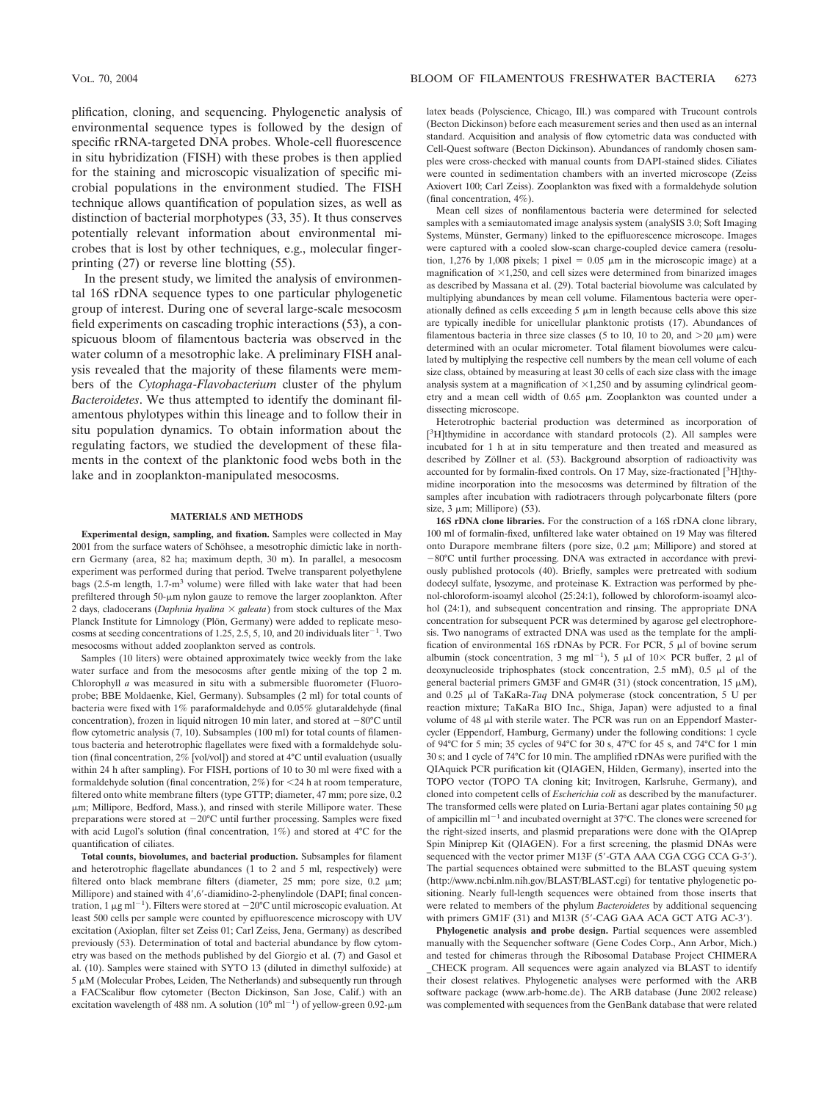plification, cloning, and sequencing. Phylogenetic analysis of environmental sequence types is followed by the design of specific rRNA-targeted DNA probes. Whole-cell fluorescence in situ hybridization (FISH) with these probes is then applied for the staining and microscopic visualization of specific microbial populations in the environment studied. The FISH technique allows quantification of population sizes, as well as distinction of bacterial morphotypes (33, 35). It thus conserves potentially relevant information about environmental microbes that is lost by other techniques, e.g., molecular fingerprinting (27) or reverse line blotting (55).

In the present study, we limited the analysis of environmental 16S rDNA sequence types to one particular phylogenetic group of interest. During one of several large-scale mesocosm field experiments on cascading trophic interactions (53), a conspicuous bloom of filamentous bacteria was observed in the water column of a mesotrophic lake. A preliminary FISH analysis revealed that the majority of these filaments were members of the *Cytophaga*-*Flavobacterium* cluster of the phylum *Bacteroidetes*. We thus attempted to identify the dominant filamentous phylotypes within this lineage and to follow their in situ population dynamics. To obtain information about the regulating factors, we studied the development of these filaments in the context of the planktonic food webs both in the lake and in zooplankton-manipulated mesocosms.

#### **MATERIALS AND METHODS**

**Experimental design, sampling, and fixation.** Samples were collected in May 2001 from the surface waters of Schöhsee, a mesotrophic dimictic lake in northern Germany (area, 82 ha; maximum depth, 30 m). In parallel, a mesocosm experiment was performed during that period. Twelve transparent polyethylene bags (2.5-m length, 1.7-m<sup>3</sup> volume) were filled with lake water that had been prefiltered through 50-µm nylon gauze to remove the larger zooplankton. After 2 days, cladocerans (*Daphnia hyalina*  $\times$  *galeata*) from stock cultures of the Max Planck Institute for Limnology (Plön, Germany) were added to replicate mesocosms at seeding concentrations of 1.25, 2.5, 5, 10, and 20 individuals liter<sup>-1</sup>. Two mesocosms without added zooplankton served as controls.

Samples (10 liters) were obtained approximately twice weekly from the lake water surface and from the mesocosms after gentle mixing of the top 2 m. Chlorophyll *a* was measured in situ with a submersible fluorometer (Fluoroprobe; BBE Moldaenke, Kiel, Germany). Subsamples (2 ml) for total counts of bacteria were fixed with 1% paraformaldehyde and 0.05% glutaraldehyde (final concentration), frozen in liquid nitrogen 10 min later, and stored at  $-80^{\circ}$ C until flow cytometric analysis (7, 10). Subsamples (100 ml) for total counts of filamentous bacteria and heterotrophic flagellates were fixed with a formaldehyde solution (final concentration, 2% [vol/vol]) and stored at 4°C until evaluation (usually within 24 h after sampling). For FISH, portions of 10 to 30 ml were fixed with a formaldehyde solution (final concentration, 2%) for 24 h at room temperature, filtered onto white membrane filters (type GTTP; diameter, 47 mm; pore size, 0.2  $\mu$ m; Millipore, Bedford, Mass.), and rinsed with sterile Millipore water. These preparations were stored at  $-20^{\circ}$ C until further processing. Samples were fixed with acid Lugol's solution (final concentration, 1%) and stored at 4°C for the quantification of ciliates.

**Total counts, biovolumes, and bacterial production.** Subsamples for filament and heterotrophic flagellate abundances (1 to 2 and 5 ml, respectively) were filtered onto black membrane filters (diameter,  $25$  mm; pore size,  $0.2 \mu m$ ; Millipore) and stained with 4',6'-diamidino-2-phenylindole (DAPI; final concentration, 1  $\mu$ g ml<sup>-1</sup>). Filters were stored at -20°C until microscopic evaluation. At least 500 cells per sample were counted by epifluorescence microscopy with UV excitation (Axioplan, filter set Zeiss 01; Carl Zeiss, Jena, Germany) as described previously (53). Determination of total and bacterial abundance by flow cytometry was based on the methods published by del Giorgio et al. (7) and Gasol et al. (10). Samples were stained with SYTO 13 (diluted in dimethyl sulfoxide) at  $5 \mu$ M (Molecular Probes, Leiden, The Netherlands) and subsequently run through a FACScalibur flow cytometer (Becton Dickinson, San Jose, Calif.) with an excitation wavelength of 488 nm. A solution  $(10^6 \text{ ml}^{-1})$  of yellow-green 0.92- $\mu$ m

latex beads (Polyscience, Chicago, Ill.) was compared with Trucount controls (Becton Dickinson) before each measurement series and then used as an internal standard. Acquisition and analysis of flow cytometric data was conducted with Cell-Quest software (Becton Dickinson). Abundances of randomly chosen samples were cross-checked with manual counts from DAPI-stained slides. Ciliates were counted in sedimentation chambers with an inverted microscope (Zeiss Axiovert 100; Carl Zeiss). Zooplankton was fixed with a formaldehyde solution (final concentration, 4%).

Mean cell sizes of nonfilamentous bacteria were determined for selected samples with a semiautomated image analysis system (analySIS 3.0; Soft Imaging Systems, Münster, Germany) linked to the epifluorescence microscope. Images were captured with a cooled slow-scan charge-coupled device camera (resolution, 1,276 by 1,008 pixels; 1 pixel =  $0.05 \mu m$  in the microscopic image) at a magnification of  $\times$ 1,250, and cell sizes were determined from binarized images as described by Massana et al. (29). Total bacterial biovolume was calculated by multiplying abundances by mean cell volume. Filamentous bacteria were operationally defined as cells exceeding  $5 \mu m$  in length because cells above this size are typically inedible for unicellular planktonic protists (17). Abundances of filamentous bacteria in three size classes (5 to 10, 10 to 20, and  $>$ 20  $\mu$ m) were determined with an ocular micrometer. Total filament biovolumes were calculated by multiplying the respective cell numbers by the mean cell volume of each size class, obtained by measuring at least 30 cells of each size class with the image analysis system at a magnification of  $\times$ 1,250 and by assuming cylindrical geometry and a mean cell width of  $0.65 \mu m$ . Zooplankton was counted under a dissecting microscope.

Heterotrophic bacterial production was determined as incorporation of [<sup>3</sup>H]thymidine in accordance with standard protocols (2). All samples were incubated for 1 h at in situ temperature and then treated and measured as described by Zöllner et al. (53). Background absorption of radioactivity was accounted for by formalin-fixed controls. On 17 May, size-fractionated [3H]thymidine incorporation into the mesocosms was determined by filtration of the samples after incubation with radiotracers through polycarbonate filters (pore  $size, 3 \mu m$ ; Millipore) (53).

**16S rDNA clone libraries.** For the construction of a 16S rDNA clone library, 100 ml of formalin-fixed, unfiltered lake water obtained on 19 May was filtered onto Durapore membrane filters (pore size,  $0.2 \mu m$ ; Millipore) and stored at 80°C until further processing. DNA was extracted in accordance with previously published protocols (40). Briefly, samples were pretreated with sodium dodecyl sulfate, lysozyme, and proteinase K. Extraction was performed by phenol-chloroform-isoamyl alcohol (25:24:1), followed by chloroform-isoamyl alcohol (24:1), and subsequent concentration and rinsing. The appropriate DNA concentration for subsequent PCR was determined by agarose gel electrophoresis. Two nanograms of extracted DNA was used as the template for the amplification of environmental 16S rDNAs by PCR. For PCR,  $5 \mu$ l of bovine serum albumin (stock concentration, 3 mg ml<sup>-1</sup>), 5  $\mu$ l of 10× PCR buffer, 2  $\mu$ l of deoxynucleoside triphosphates (stock concentration,  $2.5 \text{ mM}$ ),  $0.5 \mu$ l of the general bacterial primers GM3F and GM4R (31) (stock concentration, 15  $\mu$ M), and 0.25  $\mu$ l of TaKaRa-*Taq* DNA polymerase (stock concentration, 5 U per reaction mixture; TaKaRa BIO Inc., Shiga, Japan) were adjusted to a final volume of 48 µl with sterile water. The PCR was run on an Eppendorf Mastercycler (Eppendorf, Hamburg, Germany) under the following conditions: 1 cycle of 94°C for 5 min; 35 cycles of 94°C for 30 s, 47°C for 45 s, and 74°C for 1 min 30 s; and 1 cycle of 74°C for 10 min. The amplified rDNAs were purified with the QIAquick PCR purification kit (QIAGEN, Hilden, Germany), inserted into the TOPO vector (TOPO TA cloning kit; Invitrogen, Karlsruhe, Germany), and cloned into competent cells of *Escherichia coli* as described by the manufacturer. The transformed cells were plated on Luria-Bertani agar plates containing  $50 \mu$ g of ampicillin  $ml^{-1}$  and incubated overnight at 37°C. The clones were screened for the right-sized inserts, and plasmid preparations were done with the QIAprep Spin Miniprep Kit (QIAGEN). For a first screening, the plasmid DNAs were sequenced with the vector primer M13F (5'-GTA AAA CGA CGG CCA G-3'). The partial sequences obtained were submitted to the BLAST queuing system (http://www.ncbi.nlm.nih.gov/BLAST/BLAST.cgi) for tentative phylogenetic positioning. Nearly full-length sequences were obtained from those inserts that were related to members of the phylum *Bacteroidetes* by additional sequencing with primers GM1F (31) and M13R (5'-CAG GAA ACA GCT ATG AC-3').

**Phylogenetic analysis and probe design.** Partial sequences were assembled manually with the Sequencher software (Gene Codes Corp., Ann Arbor, Mich.) and tested for chimeras through the Ribosomal Database Project CHIMERA \_CHECK program. All sequences were again analyzed via BLAST to identify their closest relatives. Phylogenetic analyses were performed with the ARB software package (www.arb-home.de). The ARB database (June 2002 release) was complemented with sequences from the GenBank database that were related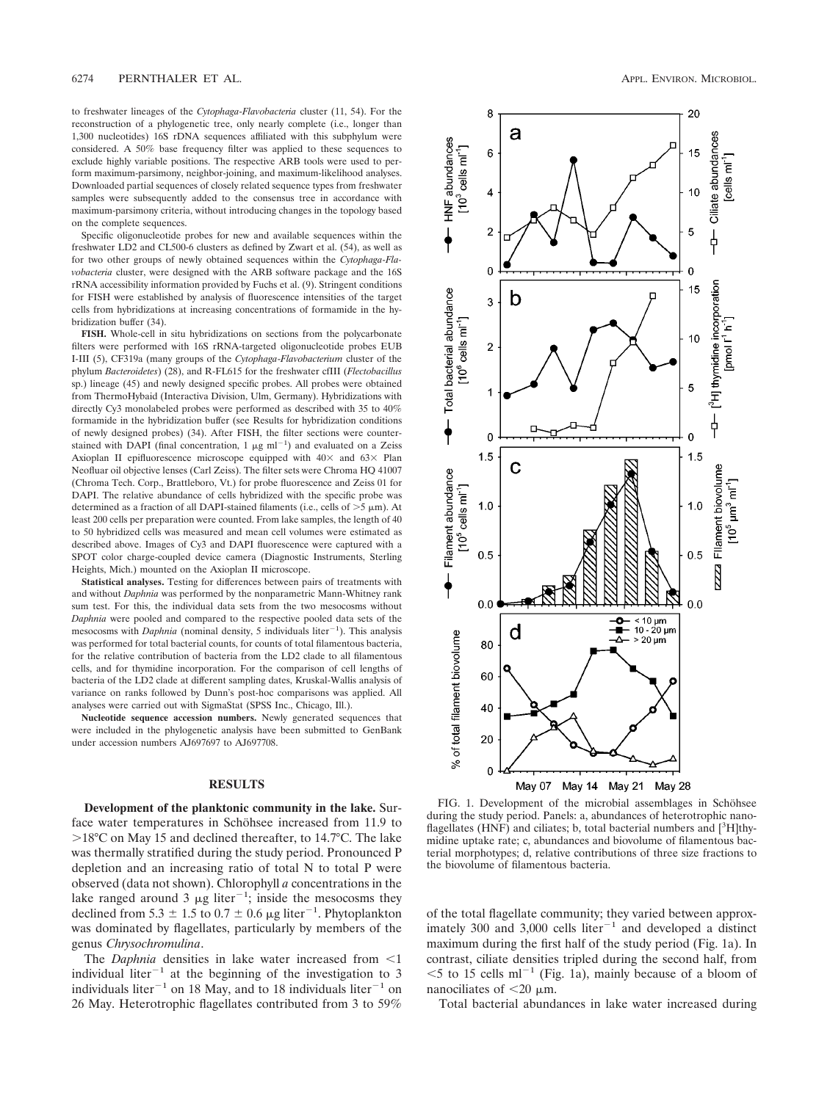to freshwater lineages of the *Cytophaga*-*Flavobacteria* cluster (11, 54). For the reconstruction of a phylogenetic tree, only nearly complete (i.e., longer than 1,300 nucleotides) 16S rDNA sequences affiliated with this subphylum were considered. A 50% base frequency filter was applied to these sequences to exclude highly variable positions. The respective ARB tools were used to perform maximum-parsimony, neighbor-joining, and maximum-likelihood analyses. Downloaded partial sequences of closely related sequence types from freshwater samples were subsequently added to the consensus tree in accordance with maximum-parsimony criteria, without introducing changes in the topology based on the complete sequences.

Specific oligonucleotide probes for new and available sequences within the freshwater LD2 and CL500-6 clusters as defined by Zwart et al. (54), as well as for two other groups of newly obtained sequences within the *Cytophaga*-*Flavobacteria* cluster, were designed with the ARB software package and the 16S rRNA accessibility information provided by Fuchs et al. (9). Stringent conditions for FISH were established by analysis of fluorescence intensities of the target cells from hybridizations at increasing concentrations of formamide in the hybridization buffer (34).

**FISH.** Whole-cell in situ hybridizations on sections from the polycarbonate filters were performed with 16S rRNA-targeted oligonucleotide probes EUB I-III (5), CF319a (many groups of the *Cytophaga*-*Flavobacterium* cluster of the phylum *Bacteroidetes*) (28), and R-FL615 for the freshwater cfIII (*Flectobacillus* sp.) lineage (45) and newly designed specific probes. All probes were obtained from ThermoHybaid (Interactiva Division, Ulm, Germany). Hybridizations with directly Cy3 monolabeled probes were performed as described with 35 to 40% formamide in the hybridization buffer (see Results for hybridization conditions of newly designed probes) (34). After FISH, the filter sections were counterstained with DAPI (final concentration,  $1 \mu g$  ml<sup>-1</sup>) and evaluated on a Zeiss Axioplan II epifluorescence microscope equipped with  $40\times$  and  $63\times$  Plan Neofluar oil objective lenses (Carl Zeiss). The filter sets were Chroma HQ 41007 (Chroma Tech. Corp., Brattleboro, Vt.) for probe fluorescence and Zeiss 01 for DAPI. The relative abundance of cells hybridized with the specific probe was determined as a fraction of all DAPI-stained filaments (i.e., cells of  $>5 \mu m$ ). At least 200 cells per preparation were counted. From lake samples, the length of 40 to 50 hybridized cells was measured and mean cell volumes were estimated as described above. Images of Cy3 and DAPI fluorescence were captured with a SPOT color charge-coupled device camera (Diagnostic Instruments, Sterling Heights, Mich.) mounted on the Axioplan II microscope.

**Statistical analyses.** Testing for differences between pairs of treatments with and without *Daphnia* was performed by the nonparametric Mann-Whitney rank sum test. For this, the individual data sets from the two mesocosms without *Daphnia* were pooled and compared to the respective pooled data sets of the mesocosms with *Daphnia* (nominal density, 5 individuals liter<sup> $-1$ </sup>). This analysis was performed for total bacterial counts, for counts of total filamentous bacteria, for the relative contribution of bacteria from the LD2 clade to all filamentous cells, and for thymidine incorporation. For the comparison of cell lengths of bacteria of the LD2 clade at different sampling dates, Kruskal-Wallis analysis of variance on ranks followed by Dunn's post-hoc comparisons was applied. All analyses were carried out with SigmaStat (SPSS Inc., Chicago, Ill.).

**Nucleotide sequence accession numbers.** Newly generated sequences that were included in the phylogenetic analysis have been submitted to GenBank under accession numbers AJ697697 to AJ697708.

## **RESULTS**

**Development of the planktonic community in the lake.** Surface water temperatures in Schöhsee increased from 11.9 to  $>18^{\circ}$ C on May 15 and declined thereafter, to 14.7 $^{\circ}$ C. The lake was thermally stratified during the study period. Pronounced P depletion and an increasing ratio of total N to total P were observed (data not shown). Chlorophyll *a* concentrations in the lake ranged around 3  $\mu$ g liter<sup>-1</sup>; inside the mesocosms they declined from 5.3  $\pm$  1.5 to 0.7  $\pm$  0.6 µg liter<sup>-1</sup>. Phytoplankton was dominated by flagellates, particularly by members of the genus *Chrysochromulina*.

The *Daphnia* densities in lake water increased from  $\leq 1$ individual liter<sup>-1</sup> at the beginning of the investigation to 3 individuals liter<sup>-1</sup> on 18 May, and to 18 individuals liter<sup>-1</sup> on 26 May. Heterotrophic flagellates contributed from 3 to 59%



FIG. 1. Development of the microbial assemblages in Schöhsee during the study period. Panels: a, abundances of heterotrophic nanoflagellates (HNF) and ciliates; b, total bacterial numbers and  $[^3H]$ thymidine uptake rate; c, abundances and biovolume of filamentous bacterial morphotypes; d, relative contributions of three size fractions to the biovolume of filamentous bacteria.

of the total flagellate community; they varied between approximately 300 and 3,000 cells liter<sup>-1</sup> and developed a distinct maximum during the first half of the study period (Fig. 1a). In contrast, ciliate densities tripled during the second half, from  $<$  5 to 15 cells ml<sup>-1</sup> (Fig. 1a), mainly because of a bloom of nanociliates of  $<$ 20  $\mu$ m.

Total bacterial abundances in lake water increased during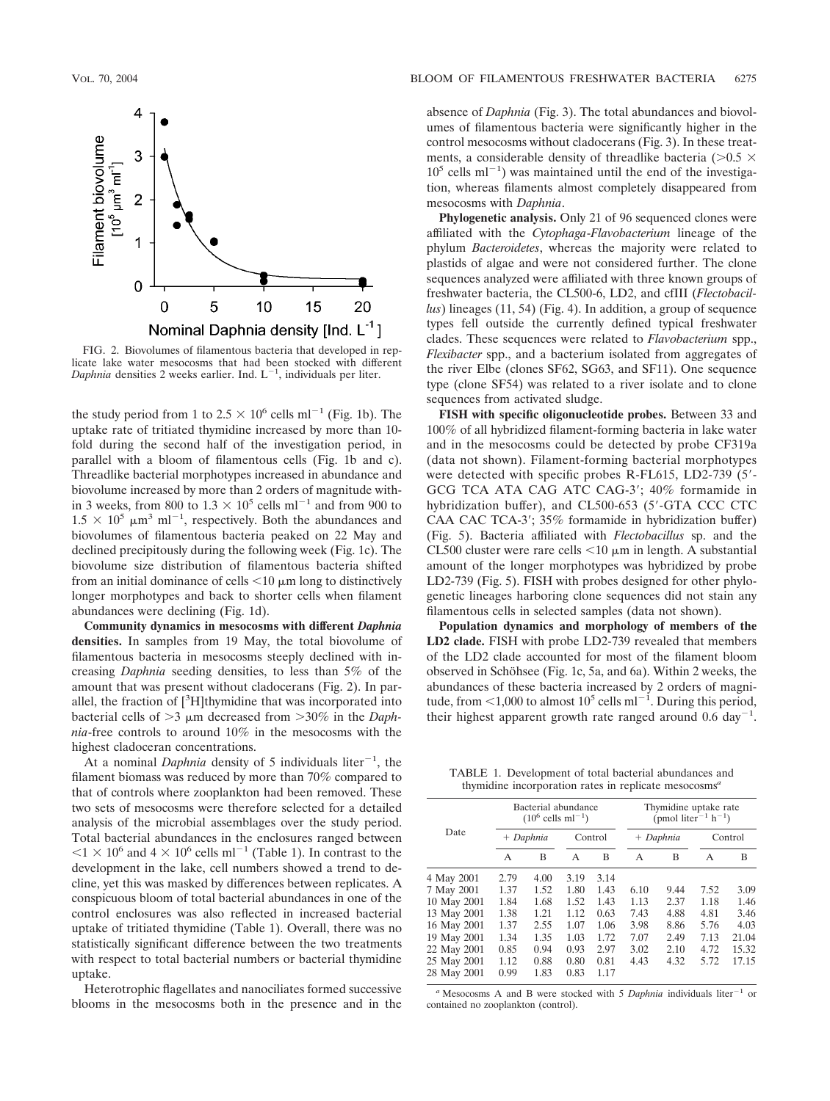

FIG. 2. Biovolumes of filamentous bacteria that developed in replicate lake water mesocosms that had been stocked with different Daphnia densities 2 weeks earlier. Ind.  $L^{-1}$ , individuals per liter.

the study period from 1 to  $2.5 \times 10^6$  cells ml<sup>-1</sup> (Fig. 1b). The uptake rate of tritiated thymidine increased by more than 10 fold during the second half of the investigation period, in parallel with a bloom of filamentous cells (Fig. 1b and c). Threadlike bacterial morphotypes increased in abundance and biovolume increased by more than 2 orders of magnitude within 3 weeks, from 800 to  $1.3 \times 10^5$  cells ml<sup>-1</sup> and from 900 to  $1.5 \times 10^5$   $\mu$ m<sup>3</sup> ml<sup>-1</sup>, respectively. Both the abundances and biovolumes of filamentous bacteria peaked on 22 May and declined precipitously during the following week (Fig. 1c). The biovolume size distribution of filamentous bacteria shifted from an initial dominance of cells  $\leq 10 \mu$ m long to distinctively longer morphotypes and back to shorter cells when filament abundances were declining (Fig. 1d).

**Community dynamics in mesocosms with different** *Daphnia* **densities.** In samples from 19 May, the total biovolume of filamentous bacteria in mesocosms steeply declined with increasing *Daphnia* seeding densities, to less than 5% of the amount that was present without cladocerans (Fig. 2). In parallel, the fraction of [<sup>3</sup>H]thymidine that was incorporated into bacterial cells of  $>3$   $\mu$ m decreased from  $>30\%$  in the *Daphnia*-free controls to around 10% in the mesocosms with the highest cladoceran concentrations.

At a nominal *Daphnia* density of 5 individuals liter<sup>-1</sup>, the filament biomass was reduced by more than 70% compared to that of controls where zooplankton had been removed. These two sets of mesocosms were therefore selected for a detailed analysis of the microbial assemblages over the study period. Total bacterial abundances in the enclosures ranged between  $1 \times 10^6$  and  $4 \times 10^6$  cells ml<sup>-1</sup> (Table 1). In contrast to the development in the lake, cell numbers showed a trend to decline, yet this was masked by differences between replicates. A conspicuous bloom of total bacterial abundances in one of the control enclosures was also reflected in increased bacterial uptake of tritiated thymidine (Table 1). Overall, there was no statistically significant difference between the two treatments with respect to total bacterial numbers or bacterial thymidine uptake.

Heterotrophic flagellates and nanociliates formed successive blooms in the mesocosms both in the presence and in the absence of *Daphnia* (Fig. 3). The total abundances and biovolumes of filamentous bacteria were significantly higher in the control mesocosms without cladocerans (Fig. 3). In these treatments, a considerable density of threadlike bacteria ( $>0.5 \times$  $10<sup>5</sup>$  cells ml<sup>-1</sup>) was maintained until the end of the investigation, whereas filaments almost completely disappeared from mesocosms with *Daphnia*.

**Phylogenetic analysis.** Only 21 of 96 sequenced clones were affiliated with the *Cytophaga*-*Flavobacterium* lineage of the phylum *Bacteroidetes*, whereas the majority were related to plastids of algae and were not considered further. The clone sequences analyzed were affiliated with three known groups of freshwater bacteria, the CL500-6, LD2, and cfIII (*Flectobacillus*) lineages (11, 54) (Fig. 4). In addition, a group of sequence types fell outside the currently defined typical freshwater clades. These sequences were related to *Flavobacterium* spp., *Flexibacter* spp., and a bacterium isolated from aggregates of the river Elbe (clones SF62, SG63, and SF11). One sequence type (clone SF54) was related to a river isolate and to clone sequences from activated sludge.

**FISH with specific oligonucleotide probes.** Between 33 and 100% of all hybridized filament-forming bacteria in lake water and in the mesocosms could be detected by probe CF319a (data not shown). Filament-forming bacterial morphotypes were detected with specific probes R-FL615, LD2-739 (5- GCG TCA ATA CAG ATC CAG-3; 40% formamide in hybridization buffer), and CL500-653 (5'-GTA CCC CTC CAA CAC TCA-3; 35% formamide in hybridization buffer) (Fig. 5). Bacteria affiliated with *Flectobacillus* sp. and the CL500 cluster were rare cells  $\leq 10 \mu m$  in length. A substantial amount of the longer morphotypes was hybridized by probe LD2-739 (Fig. 5). FISH with probes designed for other phylogenetic lineages harboring clone sequences did not stain any filamentous cells in selected samples (data not shown).

**Population dynamics and morphology of members of the LD2 clade.** FISH with probe LD2-739 revealed that members of the LD2 clade accounted for most of the filament bloom observed in Schöhsee (Fig. 1c, 5a, and 6a). Within 2 weeks, the abundances of these bacteria increased by 2 orders of magnitude, from  $\leq 1,000$  to almost  $10^5$  cells ml<sup>-1</sup>. During this period, their highest apparent growth rate ranged around  $0.6 \text{ day}^{-1}$ .

TABLE 1. Development of total bacterial abundances and thymidine incorporation rates in replicate mesocosms*<sup>a</sup>*

| Date        | Bacterial abundance<br>$(10^6 \text{ cells } \text{ml}^{-1})$ |      |         |      | Thymidine uptake rate<br>(pmol liter <sup>-1</sup> h <sup>-1</sup> ) |      |         |       |
|-------------|---------------------------------------------------------------|------|---------|------|----------------------------------------------------------------------|------|---------|-------|
|             | + Daphnia                                                     |      | Control |      | + Daphnia                                                            |      | Control |       |
|             | A                                                             | B    | A       | B    | A                                                                    | в    | A       | B     |
| 4 May 2001  | 2.79                                                          | 4.00 | 3.19    | 3.14 |                                                                      |      |         |       |
| 7 May 2001  | 1.37                                                          | 1.52 | 1.80    | 1.43 | 6.10                                                                 | 9.44 | 7.52    | 3.09  |
| 10 May 2001 | 1.84                                                          | 1.68 | 1.52    | 1.43 | 1.13                                                                 | 2.37 | 1.18    | 1.46  |
| 13 May 2001 | 1.38                                                          | 1.21 | 1.12    | 0.63 | 7.43                                                                 | 4.88 | 4.81    | 3.46  |
| 16 May 2001 | 1.37                                                          | 2.55 | 1.07    | 1.06 | 3.98                                                                 | 8.86 | 5.76    | 4.03  |
| 19 May 2001 | 1.34                                                          | 1.35 | 1.03    | 1.72 | 7.07                                                                 | 2.49 | 7.13    | 21.04 |
| 22 May 2001 | 0.85                                                          | 0.94 | 0.93    | 2.97 | 3.02                                                                 | 2.10 | 4.72    | 15.32 |
| 25 May 2001 | 1.12                                                          | 0.88 | 0.80    | 0.81 | 4.43                                                                 | 4.32 | 5.72    | 17.15 |
| 28 May 2001 | 0.99                                                          | 1.83 | 0.83    | 1.17 |                                                                      |      |         |       |
|             |                                                               |      |         |      |                                                                      |      |         |       |

<sup>*a*</sup> Mesocosms A and B were stocked with 5 *Daphnia* individuals liter<sup>-1</sup> or contained no zooplankton (control).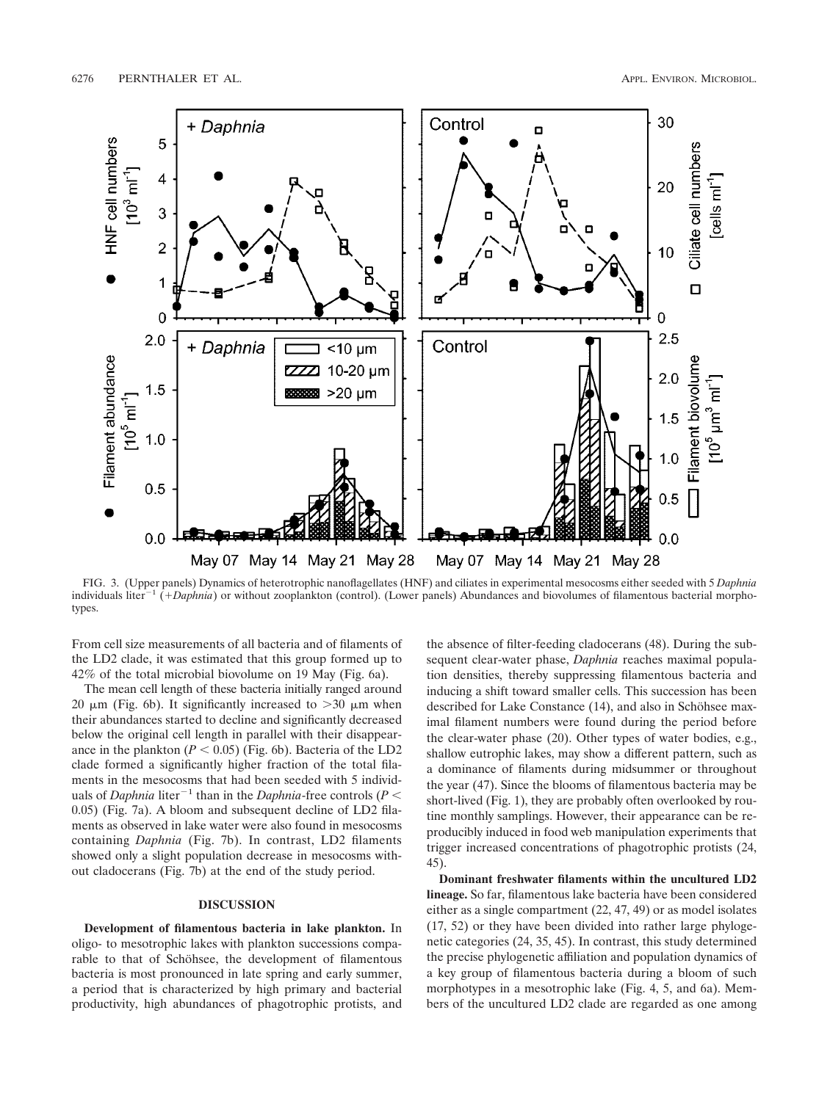

FIG. 3. (Upper panels) Dynamics of heterotrophic nanoflagellates (HNF) and ciliates in experimental mesocosms either seeded with 5 *Daphnia* individuals liter<sup>-1</sup> (+Daphnia) or without zooplankton (control). (Lower panels) Abundances and biovolumes of filamentous bacterial morphotypes.

From cell size measurements of all bacteria and of filaments of the LD2 clade, it was estimated that this group formed up to 42% of the total microbial biovolume on 19 May (Fig. 6a).

The mean cell length of these bacteria initially ranged around 20  $\mu$ m (Fig. 6b). It significantly increased to  $>$ 30  $\mu$ m when their abundances started to decline and significantly decreased below the original cell length in parallel with their disappearance in the plankton  $(P < 0.05)$  (Fig. 6b). Bacteria of the LD2 clade formed a significantly higher fraction of the total filaments in the mesocosms that had been seeded with 5 individuals of *Daphnia* liter<sup>-1</sup> than in the *Daphnia*-free controls ( $P$  < 0.05) (Fig. 7a). A bloom and subsequent decline of LD2 filaments as observed in lake water were also found in mesocosms containing *Daphnia* (Fig. 7b). In contrast, LD2 filaments showed only a slight population decrease in mesocosms without cladocerans (Fig. 7b) at the end of the study period.

### **DISCUSSION**

**Development of filamentous bacteria in lake plankton.** In oligo- to mesotrophic lakes with plankton successions comparable to that of Schöhsee, the development of filamentous bacteria is most pronounced in late spring and early summer, a period that is characterized by high primary and bacterial productivity, high abundances of phagotrophic protists, and

the absence of filter-feeding cladocerans (48). During the subsequent clear-water phase, *Daphnia* reaches maximal population densities, thereby suppressing filamentous bacteria and inducing a shift toward smaller cells. This succession has been described for Lake Constance  $(14)$ , and also in Schöhsee maximal filament numbers were found during the period before the clear-water phase (20). Other types of water bodies, e.g., shallow eutrophic lakes, may show a different pattern, such as a dominance of filaments during midsummer or throughout the year (47). Since the blooms of filamentous bacteria may be short-lived (Fig. 1), they are probably often overlooked by routine monthly samplings. However, their appearance can be reproducibly induced in food web manipulation experiments that trigger increased concentrations of phagotrophic protists (24, 45).

**Dominant freshwater filaments within the uncultured LD2 lineage.** So far, filamentous lake bacteria have been considered either as a single compartment (22, 47, 49) or as model isolates (17, 52) or they have been divided into rather large phylogenetic categories (24, 35, 45). In contrast, this study determined the precise phylogenetic affiliation and population dynamics of a key group of filamentous bacteria during a bloom of such morphotypes in a mesotrophic lake (Fig. 4, 5, and 6a). Members of the uncultured LD2 clade are regarded as one among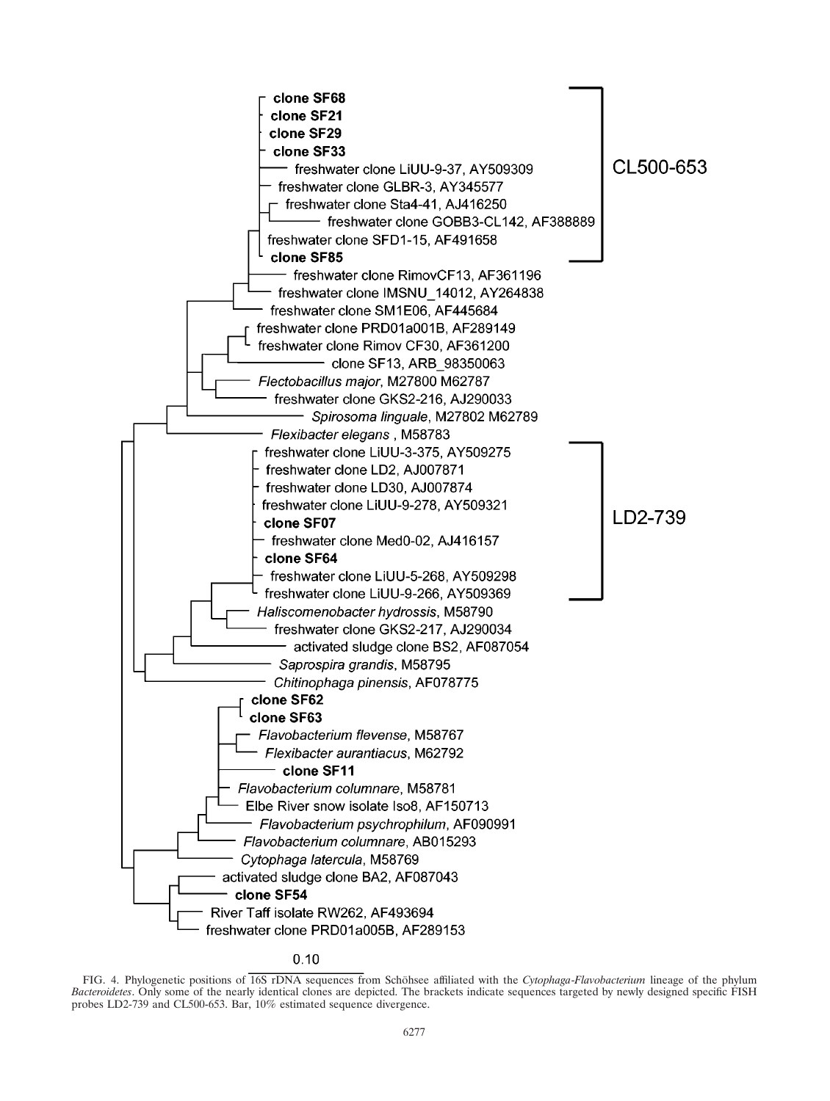

 $0.10$ 

FIG. 4. Phylogenetic positions of 16S rDNA sequences from Schöhsee affiliated with the *Cytophaga-Flavobacterium* lineage of the phylum *Bacteroidetes*. Only some of the nearly identical clones are depicted. The brackets indicate sequences targeted by newly designed specific FISH probes LD2-739 and CL500-653. Bar, 10% estimated sequence divergence.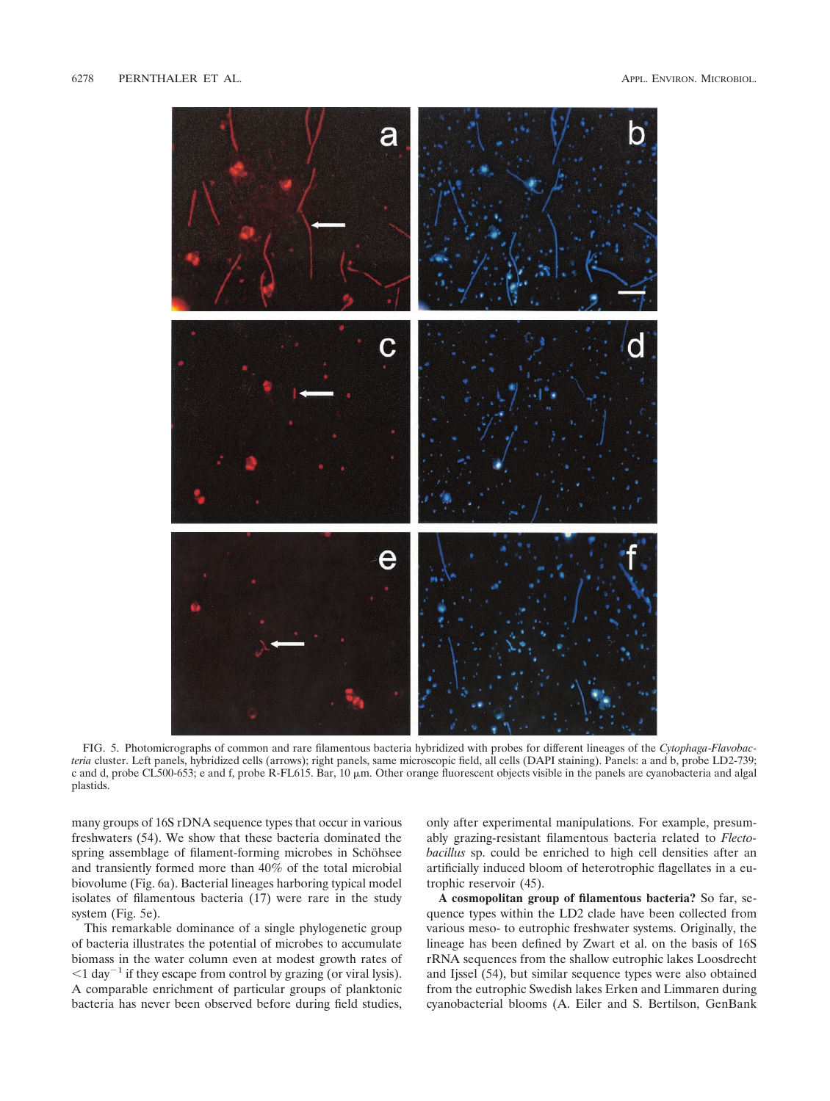

FIG. 5. Photomicrographs of common and rare filamentous bacteria hybridized with probes for different lineages of the *Cytophaga*-*Flavobacteria* cluster. Left panels, hybridized cells (arrows); right panels, same microscopic field, all cells (DAPI staining). Panels: a and b, probe LD2-739; c and d, probe CL500-653; e and f, probe R-FL615. Bar, 10  $\mu$ m. Other orange fluorescent objects visible in the panels are cyanobacteria and algal plastids.

many groups of 16S rDNA sequence types that occur in various freshwaters (54). We show that these bacteria dominated the spring assemblage of filament-forming microbes in Schöhsee and transiently formed more than 40% of the total microbial biovolume (Fig. 6a). Bacterial lineages harboring typical model isolates of filamentous bacteria (17) were rare in the study system (Fig. 5e).

This remarkable dominance of a single phylogenetic group of bacteria illustrates the potential of microbes to accumulate biomass in the water column even at modest growth rates of  $1$  day<sup>-1</sup> if they escape from control by grazing (or viral lysis). A comparable enrichment of particular groups of planktonic bacteria has never been observed before during field studies,

only after experimental manipulations. For example, presumably grazing-resistant filamentous bacteria related to *Flectobacillus* sp. could be enriched to high cell densities after an artificially induced bloom of heterotrophic flagellates in a eutrophic reservoir (45).

**A cosmopolitan group of filamentous bacteria?** So far, sequence types within the LD2 clade have been collected from various meso- to eutrophic freshwater systems. Originally, the lineage has been defined by Zwart et al. on the basis of 16S rRNA sequences from the shallow eutrophic lakes Loosdrecht and Ijssel (54), but similar sequence types were also obtained from the eutrophic Swedish lakes Erken and Limmaren during cyanobacterial blooms (A. Eiler and S. Bertilson, GenBank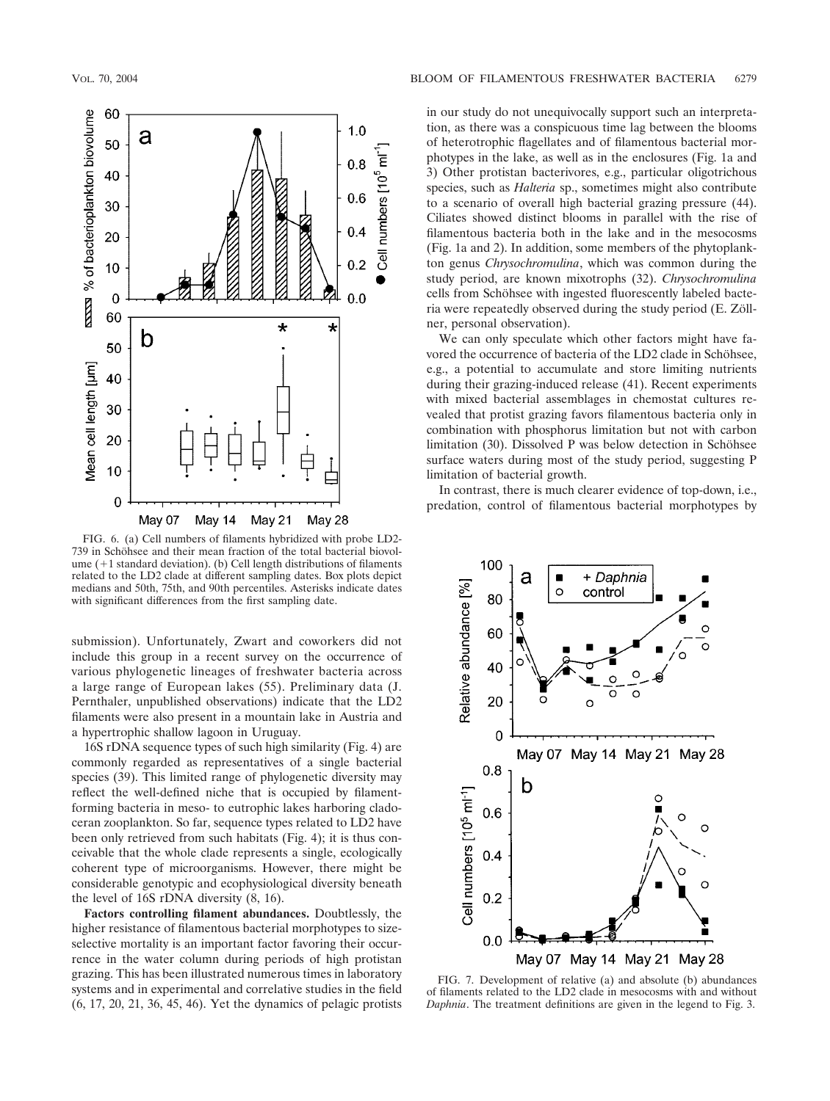

FIG. 6. (a) Cell numbers of filaments hybridized with probe LD2- 739 in Schöhsee and their mean fraction of the total bacterial biovolume  $(+1$  standard deviation). (b) Cell length distributions of filaments related to the LD2 clade at different sampling dates. Box plots depict medians and 50th, 75th, and 90th percentiles. Asterisks indicate dates with significant differences from the first sampling date.

submission). Unfortunately, Zwart and coworkers did not include this group in a recent survey on the occurrence of various phylogenetic lineages of freshwater bacteria across a large range of European lakes (55). Preliminary data (J. Pernthaler, unpublished observations) indicate that the LD2 filaments were also present in a mountain lake in Austria and a hypertrophic shallow lagoon in Uruguay.

16S rDNA sequence types of such high similarity (Fig. 4) are commonly regarded as representatives of a single bacterial species (39). This limited range of phylogenetic diversity may reflect the well-defined niche that is occupied by filamentforming bacteria in meso- to eutrophic lakes harboring cladoceran zooplankton. So far, sequence types related to LD2 have been only retrieved from such habitats (Fig. 4); it is thus conceivable that the whole clade represents a single, ecologically coherent type of microorganisms. However, there might be considerable genotypic and ecophysiological diversity beneath the level of 16S rDNA diversity (8, 16).

**Factors controlling filament abundances.** Doubtlessly, the higher resistance of filamentous bacterial morphotypes to sizeselective mortality is an important factor favoring their occurrence in the water column during periods of high protistan grazing. This has been illustrated numerous times in laboratory systems and in experimental and correlative studies in the field (6, 17, 20, 21, 36, 45, 46). Yet the dynamics of pelagic protists

in our study do not unequivocally support such an interpretation, as there was a conspicuous time lag between the blooms of heterotrophic flagellates and of filamentous bacterial morphotypes in the lake, as well as in the enclosures (Fig. 1a and 3) Other protistan bacterivores, e.g., particular oligotrichous species, such as *Halteria* sp., sometimes might also contribute to a scenario of overall high bacterial grazing pressure (44). Ciliates showed distinct blooms in parallel with the rise of filamentous bacteria both in the lake and in the mesocosms (Fig. 1a and 2). In addition, some members of the phytoplankton genus *Chrysochromulina*, which was common during the study period, are known mixotrophs (32). *Chrysochromulina* cells from Schöhsee with ingested fluorescently labeled bacteria were repeatedly observed during the study period (E. Zöllner, personal observation).

We can only speculate which other factors might have favored the occurrence of bacteria of the LD2 clade in Schöhsee, e.g., a potential to accumulate and store limiting nutrients during their grazing-induced release (41). Recent experiments with mixed bacterial assemblages in chemostat cultures revealed that protist grazing favors filamentous bacteria only in combination with phosphorus limitation but not with carbon limitation (30). Dissolved P was below detection in Schöhsee surface waters during most of the study period, suggesting P limitation of bacterial growth.

In contrast, there is much clearer evidence of top-down, i.e., predation, control of filamentous bacterial morphotypes by



FIG. 7. Development of relative (a) and absolute (b) abundances of filaments related to the LD2 clade in mesocosms with and without *Daphnia*. The treatment definitions are given in the legend to Fig. 3.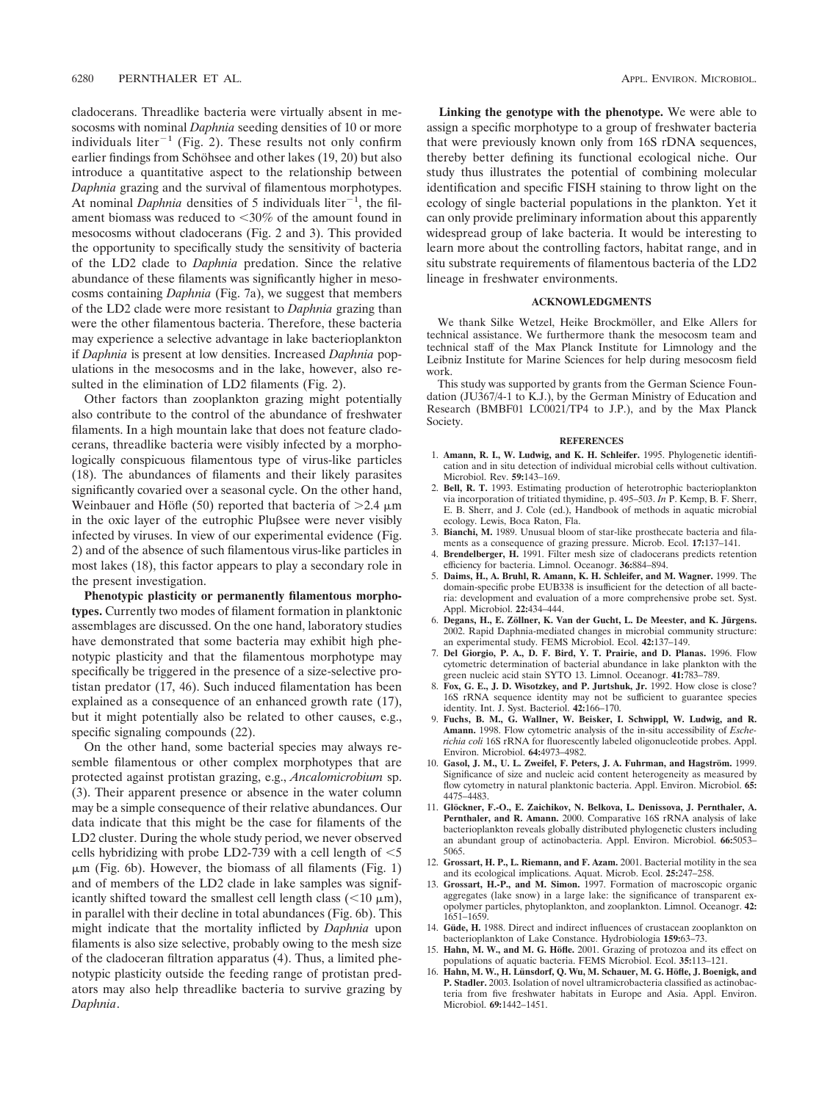cladocerans. Threadlike bacteria were virtually absent in mesocosms with nominal *Daphnia* seeding densities of 10 or more individuals liter<sup>-1</sup> (Fig. 2). These results not only confirm earlier findings from Schöhsee and other lakes (19, 20) but also introduce a quantitative aspect to the relationship between *Daphnia* grazing and the survival of filamentous morphotypes. At nominal *Daphnia* densities of 5 individuals liter<sup> $-1$ </sup>, the filament biomass was reduced to <30% of the amount found in mesocosms without cladocerans (Fig. 2 and 3). This provided the opportunity to specifically study the sensitivity of bacteria of the LD2 clade to *Daphnia* predation. Since the relative abundance of these filaments was significantly higher in mesocosms containing *Daphnia* (Fig. 7a), we suggest that members of the LD2 clade were more resistant to *Daphnia* grazing than were the other filamentous bacteria. Therefore, these bacteria may experience a selective advantage in lake bacterioplankton if *Daphnia* is present at low densities. Increased *Daphnia* populations in the mesocosms and in the lake, however, also resulted in the elimination of LD2 filaments (Fig. 2).

Other factors than zooplankton grazing might potentially also contribute to the control of the abundance of freshwater filaments. In a high mountain lake that does not feature cladocerans, threadlike bacteria were visibly infected by a morphologically conspicuous filamentous type of virus-like particles (18). The abundances of filaments and their likely parasites significantly covaried over a seasonal cycle. On the other hand, Weinbauer and Höfle (50) reported that bacteria of  $>2.4 \mu m$ in the oxic layer of the eutrophic Plu $\beta$ see were never visibly infected by viruses. In view of our experimental evidence (Fig. 2) and of the absence of such filamentous virus-like particles in most lakes (18), this factor appears to play a secondary role in the present investigation.

**Phenotypic plasticity or permanently filamentous morphotypes.** Currently two modes of filament formation in planktonic assemblages are discussed. On the one hand, laboratory studies have demonstrated that some bacteria may exhibit high phenotypic plasticity and that the filamentous morphotype may specifically be triggered in the presence of a size-selective protistan predator (17, 46). Such induced filamentation has been explained as a consequence of an enhanced growth rate (17), but it might potentially also be related to other causes, e.g., specific signaling compounds (22).

On the other hand, some bacterial species may always resemble filamentous or other complex morphotypes that are protected against protistan grazing, e.g., *Ancalomicrobium* sp. (3). Their apparent presence or absence in the water column may be a simple consequence of their relative abundances. Our data indicate that this might be the case for filaments of the LD2 cluster. During the whole study period, we never observed cells hybridizing with probe LD2-739 with a cell length of  $<$  5  $\mu$ m (Fig. 6b). However, the biomass of all filaments (Fig. 1) and of members of the LD2 clade in lake samples was significantly shifted toward the smallest cell length class  $(< 10 \mu m)$ , in parallel with their decline in total abundances (Fig. 6b). This might indicate that the mortality inflicted by *Daphnia* upon filaments is also size selective, probably owing to the mesh size of the cladoceran filtration apparatus (4). Thus, a limited phenotypic plasticity outside the feeding range of protistan predators may also help threadlike bacteria to survive grazing by *Daphnia*.

**Linking the genotype with the phenotype.** We were able to assign a specific morphotype to a group of freshwater bacteria that were previously known only from 16S rDNA sequences, thereby better defining its functional ecological niche. Our study thus illustrates the potential of combining molecular identification and specific FISH staining to throw light on the ecology of single bacterial populations in the plankton. Yet it can only provide preliminary information about this apparently widespread group of lake bacteria. It would be interesting to learn more about the controlling factors, habitat range, and in situ substrate requirements of filamentous bacteria of the LD2 lineage in freshwater environments.

#### **ACKNOWLEDGMENTS**

We thank Silke Wetzel, Heike Brockmöller, and Elke Allers for technical assistance. We furthermore thank the mesocosm team and technical staff of the Max Planck Institute for Limnology and the Leibniz Institute for Marine Sciences for help during mesocosm field work.

This study was supported by grants from the German Science Foundation (JU367/4-1 to K.J.), by the German Ministry of Education and Research (BMBF01 LC0021/TP4 to J.P.), and by the Max Planck Society.

#### **REFERENCES**

- 1. **Amann, R. I., W. Ludwig, and K. H. Schleifer.** 1995. Phylogenetic identification and in situ detection of individual microbial cells without cultivation. Microbiol. Rev. **59:**143–169.
- 2. **Bell, R. T.** 1993. Estimating production of heterotrophic bacterioplankton via incorporation of tritiated thymidine, p. 495–503. *In* P. Kemp, B. F. Sherr, E. B. Sherr, and J. Cole (ed.), Handbook of methods in aquatic microbial ecology. Lewis, Boca Raton, Fla.
- 3. **Bianchi, M.** 1989. Unusual bloom of star-like prosthecate bacteria and filaments as a consequence of grazing pressure. Microb. Ecol. **17:**137–141.
- 4. **Brendelberger, H.** 1991. Filter mesh size of cladocerans predicts retention efficiency for bacteria. Limnol. Oceanogr. **36:**884–894.
- 5. **Daims, H., A. Bruhl, R. Amann, K. H. Schleifer, and M. Wagner.** 1999. The domain-specific probe EUB338 is insufficient for the detection of all bacteria: development and evaluation of a more comprehensive probe set. Syst. Appl. Microbiol. **22:**434–444.
- 6. Degans, H., E. Zöllner, K. Van der Gucht, L. De Meester, and K. Jürgens. 2002. Rapid Daphnia-mediated changes in microbial community structure: an experimental study. FEMS Microbiol. Ecol. **42:**137–149.
- 7. **Del Giorgio, P. A., D. F. Bird, Y. T. Prairie, and D. Planas.** 1996. Flow cytometric determination of bacterial abundance in lake plankton with the green nucleic acid stain SYTO 13. Limnol. Oceanogr. **41:**783–789.
- 8. **Fox, G. E., J. D. Wisotzkey, and P. Jurtshuk, Jr.** 1992. How close is close? 16S rRNA sequence identity may not be sufficient to guarantee species identity. Int. J. Syst. Bacteriol. **42:**166–170.
- 9. **Fuchs, B. M., G. Wallner, W. Beisker, I. Schwippl, W. Ludwig, and R. Amann.** 1998. Flow cytometric analysis of the in-situ accessibility of *Escherichia coli* 16S rRNA for fluorescently labeled oligonucleotide probes. Appl. Environ. Microbiol. **64:**4973–4982.
- 10. Gasol, J. M., U. L. Zweifel, F. Peters, J. A. Fuhrman, and Hagström. 1999. Significance of size and nucleic acid content heterogeneity as measured by flow cytometry in natural planktonic bacteria. Appl. Environ. Microbiol. **65:** 4475–4483.
- 11. Glöckner, F.-O., E. Zaichikov, N. Belkova, L. Denissova, J. Pernthaler, A. **Pernthaler, and R. Amann.** 2000. Comparative 16S rRNA analysis of lake bacterioplankton reveals globally distributed phylogenetic clusters including an abundant group of actinobacteria. Appl. Environ. Microbiol. **66:**5053– 5065.
- 12. **Grossart, H. P., L. Riemann, and F. Azam.** 2001. Bacterial motility in the sea and its ecological implications. Aquat. Microb. Ecol. **25:**247–258.
- 13. **Grossart, H.-P., and M. Simon.** 1997. Formation of macroscopic organic aggregates (lake snow) in a large lake: the significance of transparent exopolymer particles, phytoplankton, and zooplankton. Limnol. Oceanogr. **42:** 1651–1659.
- 14. Güde, H. 1988. Direct and indirect influences of crustacean zooplankton on bacterioplankton of Lake Constance. Hydrobiologia **159:**63–73.
- 15. Hahn, M. W., and M. G. Höfle. 2001. Grazing of protozoa and its effect on populations of aquatic bacteria. FEMS Microbiol. Ecol. **35:**113–121.
- 16. **Hahn, M. W., H. Lünsdorf, Q. Wu, M. Schauer, M. G. Höfle, J. Boenigk, and P. Stadler.** 2003. Isolation of novel ultramicrobacteria classified as actinobacteria from five freshwater habitats in Europe and Asia. Appl. Environ. Microbiol. **69:**1442–1451.